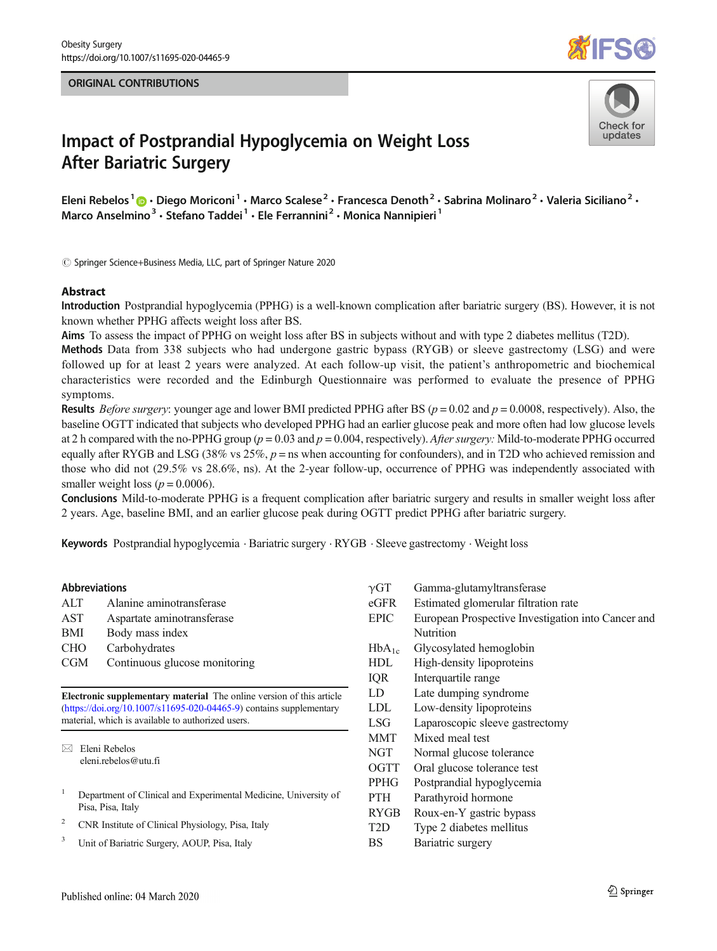#### ORIGINAL CONTRIBUTIONS





# Impact of Postprandial Hypoglycemia on Weight Loss After Bariatric Surgery

Eleni Rebelos<sup>1</sup>  $\cdot$  Diego Moriconi<sup>1</sup>  $\cdot$  Marco Scalese<sup>2</sup>  $\cdot$  Francesca Denoth<sup>2</sup>  $\cdot$  Sabrina Molinaro<sup>2</sup>  $\cdot$  Valeria Siciliano<sup>2</sup>  $\cdot$ Marco Anselmino<sup>3</sup> · Stefano Taddei<sup>1</sup> · Ele Ferrannini<sup>2</sup> · Monica Nannipieri<sup>1</sup>

 $\odot$  Springer Science+Business Media, LLC, part of Springer Nature 2020

### Abstract

Introduction Postprandial hypoglycemia (PPHG) is a well-known complication after bariatric surgery (BS). However, it is not known whether PPHG affects weight loss after BS.

Aims To assess the impact of PPHG on weight loss after BS in subjects without and with type 2 diabetes mellitus (T2D).

Methods Data from 338 subjects who had undergone gastric bypass (RYGB) or sleeve gastrectomy (LSG) and were followed up for at least 2 years were analyzed. At each follow-up visit, the patient's anthropometric and biochemical characteristics were recorded and the Edinburgh Questionnaire was performed to evaluate the presence of PPHG symptoms.

**Results** Before surgery: younger age and lower BMI predicted PPHG after BS ( $p = 0.02$  and  $p = 0.0008$ , respectively). Also, the baseline OGTT indicated that subjects who developed PPHG had an earlier glucose peak and more often had low glucose levels at 2 h compared with the no-PPHG group ( $p = 0.03$  and  $p = 0.004$ , respectively). After surgery: Mild-to-moderate PPHG occurred equally after RYGB and LSG (38% vs  $25\%, p =$  ns when accounting for confounders), and in T2D who achieved remission and those who did not (29.5% vs 28.6%, ns). At the 2-year follow-up, occurrence of PPHG was independently associated with smaller weight loss ( $p = 0.0006$ ).

Conclusions Mild-to-moderate PPHG is a frequent complication after bariatric surgery and results in smaller weight loss after 2 years. Age, baseline BMI, and an earlier glucose peak during OGTT predict PPHG after bariatric surgery.

Keywords Postprandial hypoglycemia . Bariatric surgery . RYGB . Sleeve gastrectomy . Weight loss

#### Abbreviations

| ALT        | Alanine aminotransferase      |
|------------|-------------------------------|
| AST        | Aspartate aminotransferase    |
| BMI        | Body mass index               |
| <b>CHO</b> | Carbohydrates                 |
| CGM        | Continuous glucose monitoring |
|            |                               |

Electronic supplementary material The online version of this article (<https://doi.org/10.1007/s11695-020-04465-9>) contains supplementary material, which is available to authorized users.

 $\boxtimes$  Eleni Rebelos [eleni.rebelos@utu.fi](mailto:eleni.rebelos@utu.fi)

- <sup>1</sup> Department of Clinical and Experimental Medicine, University of Pisa, Pisa, Italy
- <sup>2</sup> CNR Institute of Clinical Physiology, Pisa, Italy
- <sup>3</sup> Unit of Bariatric Surgery, AOUP, Pisa, Italy

γGT Gamma-glutamyltransferase eGFR Estimated glomerular filtration rate EPIC European Prospective Investigation into Cancer and Nutrition HbA<sub>1c</sub> Glycosylated hemoglobin HDL High-density lipoproteins IQR Interquartile range LD Late dumping syndrome LDL Low-density lipoproteins LSG Laparoscopic sleeve gastrectomy MMT Mixed meal test NGT Normal glucose tolerance OGTT Oral glucose tolerance test PPHG Postprandial hypoglycemia PTH Parathyroid hormone RYGB Roux-en-Y gastric bypass T2D Type 2 diabetes mellitus BS Bariatric surgery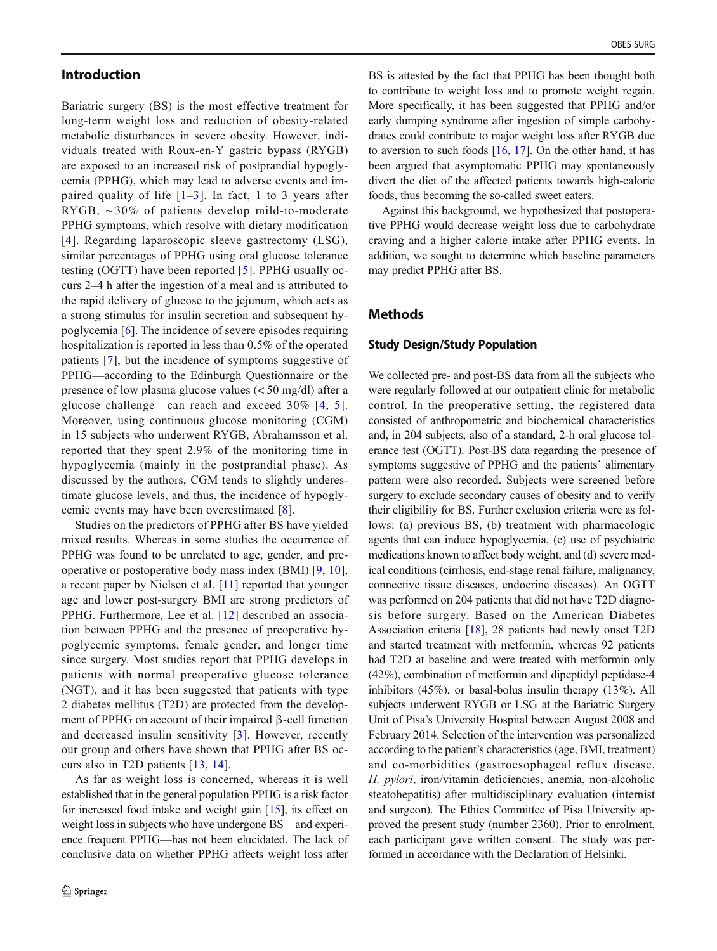## Introduction

Bariatric surgery (BS) is the most effective treatment for long-term weight loss and reduction of obesity-related metabolic disturbances in severe obesity. However, individuals treated with Roux-en-Y gastric bypass (RYGB) are exposed to an increased risk of postprandial hypoglycemia (PPHG), which may lead to adverse events and impaired quality of life  $[1-3]$  $[1-3]$  $[1-3]$  $[1-3]$ . In fact, 1 to 3 years after RYGB,  $\sim$  30% of patients develop mild-to-moderate PPHG symptoms, which resolve with dietary modification [\[4\]](#page-6-0). Regarding laparoscopic sleeve gastrectomy (LSG), similar percentages of PPHG using oral glucose tolerance testing (OGTT) have been reported [\[5\]](#page-6-0). PPHG usually occurs 2–4 h after the ingestion of a meal and is attributed to the rapid delivery of glucose to the jejunum, which acts as a strong stimulus for insulin secretion and subsequent hypoglycemia [[6\]](#page-6-0). The incidence of severe episodes requiring hospitalization is reported in less than 0.5% of the operated patients [\[7](#page-6-0)], but the incidence of symptoms suggestive of PPHG—according to the Edinburgh Questionnaire or the presence of low plasma glucose values (< 50 mg/dl) after a glucose challenge—can reach and exceed 30% [\[4,](#page-6-0) [5](#page-6-0)]. Moreover, using continuous glucose monitoring (CGM) in 15 subjects who underwent RYGB, Abrahamsson et al. reported that they spent 2.9% of the monitoring time in hypoglycemia (mainly in the postprandial phase). As discussed by the authors, CGM tends to slightly underestimate glucose levels, and thus, the incidence of hypoglycemic events may have been overestimated [\[8](#page-6-0)].

Studies on the predictors of PPHG after BS have yielded mixed results. Whereas in some studies the occurrence of PPHG was found to be unrelated to age, gender, and preoperative or postoperative body mass index (BMI) [[9,](#page-6-0) [10](#page-6-0)], a recent paper by Nielsen et al. [[11\]](#page-6-0) reported that younger age and lower post-surgery BMI are strong predictors of PPHG. Furthermore, Lee et al. [[12\]](#page-6-0) described an association between PPHG and the presence of preoperative hypoglycemic symptoms, female gender, and longer time since surgery. Most studies report that PPHG develops in patients with normal preoperative glucose tolerance (NGT), and it has been suggested that patients with type 2 diabetes mellitus (T2D) are protected from the development of PPHG on account of their impaired β-cell function and decreased insulin sensitivity [[3\]](#page-6-0). However, recently our group and others have shown that PPHG after BS occurs also in T2D patients [\[13](#page-6-0), [14](#page-6-0)].

As far as weight loss is concerned, whereas it is well established that in the general population PPHG is a risk factor for increased food intake and weight gain [\[15](#page-6-0)], its effect on weight loss in subjects who have undergone BS—and experience frequent PPHG—has not been elucidated. The lack of conclusive data on whether PPHG affects weight loss after

BS is attested by the fact that PPHG has been thought both to contribute to weight loss and to promote weight regain. More specifically, it has been suggested that PPHG and/or early dumping syndrome after ingestion of simple carbohydrates could contribute to major weight loss after RYGB due to aversion to such foods  $[16, 17]$  $[16, 17]$  $[16, 17]$  $[16, 17]$ . On the other hand, it has been argued that asymptomatic PPHG may spontaneously divert the diet of the affected patients towards high-calorie foods, thus becoming the so-called sweet eaters.

Against this background, we hypothesized that postoperative PPHG would decrease weight loss due to carbohydrate craving and a higher calorie intake after PPHG events. In addition, we sought to determine which baseline parameters may predict PPHG after BS.

# Methods

#### Study Design/Study Population

We collected pre- and post-BS data from all the subjects who were regularly followed at our outpatient clinic for metabolic control. In the preoperative setting, the registered data consisted of anthropometric and biochemical characteristics and, in 204 subjects, also of a standard, 2-h oral glucose tolerance test (OGTT). Post-BS data regarding the presence of symptoms suggestive of PPHG and the patients' alimentary pattern were also recorded. Subjects were screened before surgery to exclude secondary causes of obesity and to verify their eligibility for BS. Further exclusion criteria were as follows: (a) previous BS, (b) treatment with pharmacologic agents that can induce hypoglycemia, (c) use of psychiatric medications known to affect body weight, and (d) severe medical conditions (cirrhosis, end-stage renal failure, malignancy, connective tissue diseases, endocrine diseases). An OGTT was performed on 204 patients that did not have T2D diagnosis before surgery. Based on the American Diabetes Association criteria [[18\]](#page-6-0), 28 patients had newly onset T2D and started treatment with metformin, whereas 92 patients had T2D at baseline and were treated with metformin only (42%), combination of metformin and dipeptidyl peptidase-4 inhibitors (45%), or basal-bolus insulin therapy (13%). All subjects underwent RYGB or LSG at the Bariatric Surgery Unit of Pisa's University Hospital between August 2008 and February 2014. Selection of the intervention was personalized according to the patient's characteristics (age, BMI, treatment) and co-morbidities (gastroesophageal reflux disease, H. pylori, iron/vitamin deficiencies, anemia, non-alcoholic steatohepatitis) after multidisciplinary evaluation (internist and surgeon). The Ethics Committee of Pisa University approved the present study (number 2360). Prior to enrolment, each participant gave written consent. The study was performed in accordance with the Declaration of Helsinki.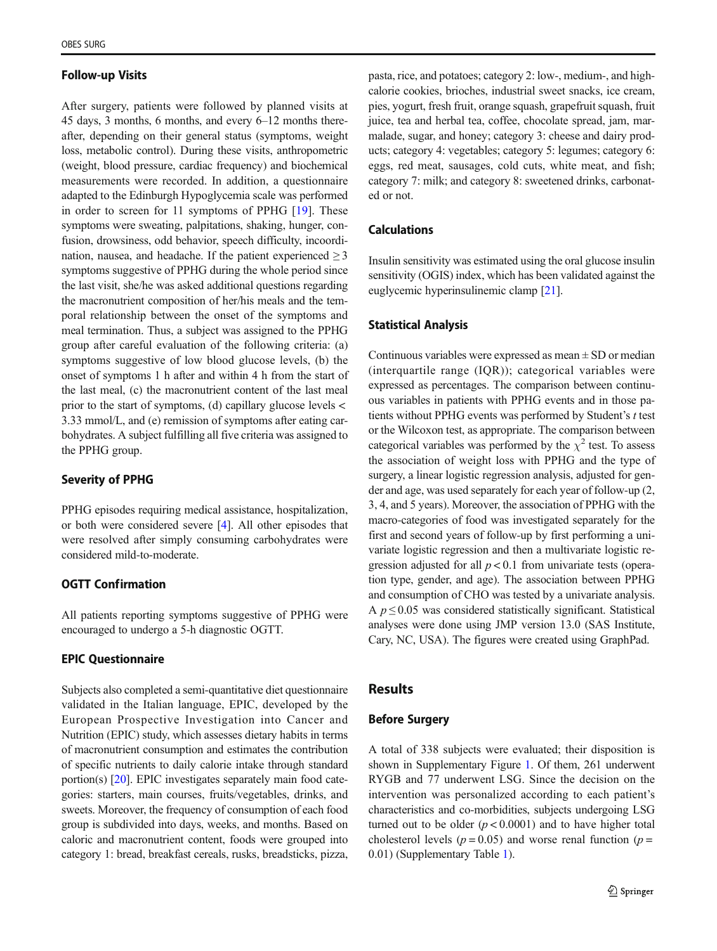#### Follow-up Visits

After surgery, patients were followed by planned visits at 45 days, 3 months, 6 months, and every 6–12 months thereafter, depending on their general status (symptoms, weight loss, metabolic control). During these visits, anthropometric (weight, blood pressure, cardiac frequency) and biochemical measurements were recorded. In addition, a questionnaire adapted to the Edinburgh Hypoglycemia scale was performed in order to screen for 11 symptoms of PPHG [[19\]](#page-6-0). These symptoms were sweating, palpitations, shaking, hunger, confusion, drowsiness, odd behavior, speech difficulty, incoordination, nausea, and headache. If the patient experienced  $\geq$  3 symptoms suggestive of PPHG during the whole period since the last visit, she/he was asked additional questions regarding the macronutrient composition of her/his meals and the temporal relationship between the onset of the symptoms and meal termination. Thus, a subject was assigned to the PPHG group after careful evaluation of the following criteria: (a) symptoms suggestive of low blood glucose levels, (b) the onset of symptoms 1 h after and within 4 h from the start of the last meal, (c) the macronutrient content of the last meal prior to the start of symptoms, (d) capillary glucose levels < 3.33 mmol/L, and (e) remission of symptoms after eating carbohydrates. A subject fulfilling all five criteria was assigned to the PPHG group.

#### Severity of PPHG

PPHG episodes requiring medical assistance, hospitalization, or both were considered severe [[4\]](#page-6-0). All other episodes that were resolved after simply consuming carbohydrates were considered mild-to-moderate.

## OGTT Confirmation

All patients reporting symptoms suggestive of PPHG were encouraged to undergo a 5-h diagnostic OGTT.

## EPIC Questionnaire

Subjects also completed a semi-quantitative diet questionnaire validated in the Italian language, EPIC, developed by the European Prospective Investigation into Cancer and Nutrition (EPIC) study, which assesses dietary habits in terms of macronutrient consumption and estimates the contribution of specific nutrients to daily calorie intake through standard portion(s) [\[20\]](#page-6-0). EPIC investigates separately main food categories: starters, main courses, fruits/vegetables, drinks, and sweets. Moreover, the frequency of consumption of each food group is subdivided into days, weeks, and months. Based on caloric and macronutrient content, foods were grouped into category 1: bread, breakfast cereals, rusks, breadsticks, pizza, pasta, rice, and potatoes; category 2: low-, medium-, and highcalorie cookies, brioches, industrial sweet snacks, ice cream, pies, yogurt, fresh fruit, orange squash, grapefruit squash, fruit juice, tea and herbal tea, coffee, chocolate spread, jam, marmalade, sugar, and honey; category 3: cheese and dairy products; category 4: vegetables; category 5: legumes; category 6: eggs, red meat, sausages, cold cuts, white meat, and fish; category 7: milk; and category 8: sweetened drinks, carbonated or not.

## Calculations

Insulin sensitivity was estimated using the oral glucose insulin sensitivity (OGIS) index, which has been validated against the euglycemic hyperinsulinemic clamp [[21](#page-6-0)].

#### Statistical Analysis

Continuous variables were expressed as mean  $\pm$  SD or median (interquartile range (IQR)); categorical variables were expressed as percentages. The comparison between continuous variables in patients with PPHG events and in those patients without PPHG events was performed by Student'<sup>s</sup> t test or the Wilcoxon test, as appropriate. The comparison between categorical variables was performed by the  $\chi^2$  test. To assess the association of weight loss with PPHG and the type of surgery, a linear logistic regression analysis, adjusted for gender and age, was used separately for each year of follow-up (2, 3, 4, and 5 years). Moreover, the association of PPHG with the macro-categories of food was investigated separately for the first and second years of follow-up by first performing a univariate logistic regression and then a multivariate logistic regression adjusted for all  $p < 0.1$  from univariate tests (operation type, gender, and age). The association between PPHG and consumption of CHO was tested by a univariate analysis. A  $p \leq 0.05$  was considered statistically significant. Statistical analyses were done using JMP version 13.0 (SAS Institute, Cary, NC, USA). The figures were created using GraphPad.

# Results

#### Before Surgery

A total of 338 subjects were evaluated; their disposition is shown in Supplementary Figure 1. Of them, 261 underwent RYGB and 77 underwent LSG. Since the decision on the intervention was personalized according to each patient's characteristics and co-morbidities, subjects undergoing LSG turned out to be older  $(p < 0.0001)$  and to have higher total cholesterol levels ( $p = 0.05$ ) and worse renal function ( $p =$ 0.01) (Supplementary Table 1).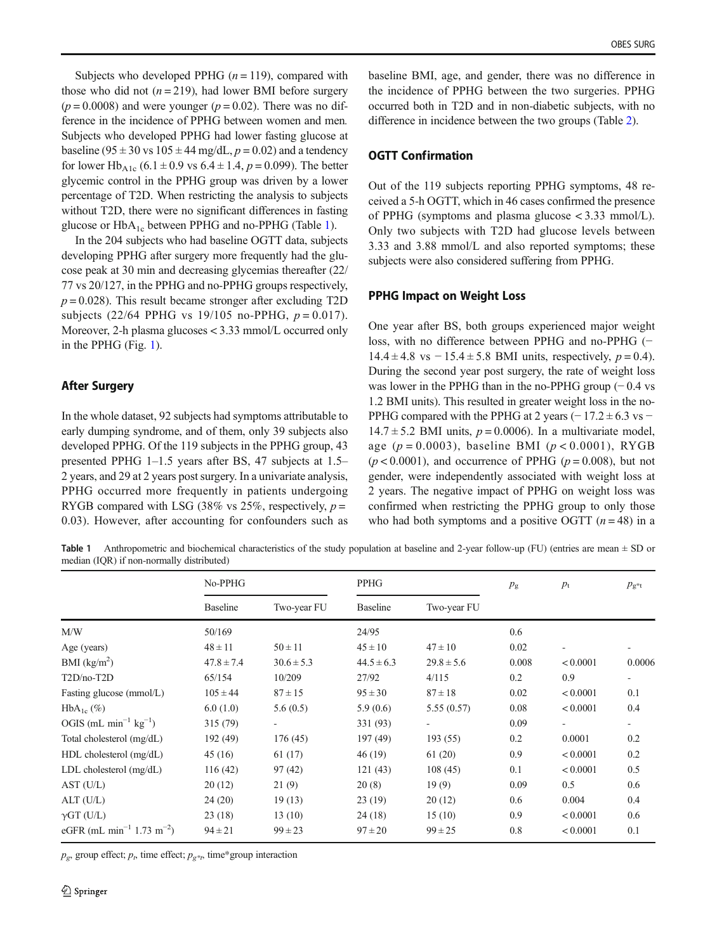Subjects who developed PPHG  $(n = 119)$ , compared with those who did not  $(n = 219)$ , had lower BMI before surgery  $(p = 0.0008)$  and were younger  $(p = 0.02)$ . There was no difference in the incidence of PPHG between women and men. Subjects who developed PPHG had lower fasting glucose at baseline ( $95 \pm 30$  vs  $105 \pm 44$  mg/dL,  $p = 0.02$ ) and a tendency for lower Hb<sub>A1c</sub> (6.1  $\pm$  0.9 vs 6.4  $\pm$  1.4, p = 0.099). The better glycemic control in the PPHG group was driven by a lower percentage of T2D. When restricting the analysis to subjects without T2D, there were no significant differences in fasting glucose or  $HbA_{1c}$  between PPHG and no-PPHG (Table 1).

In the 204 subjects who had baseline OGTT data, subjects developing PPHG after surgery more frequently had the glucose peak at 30 min and decreasing glycemias thereafter (22/ 77 vs 20/127, in the PPHG and no-PPHG groups respectively,  $p = 0.028$ ). This result became stronger after excluding T2D subjects (22/64 PPHG vs 19/105 no-PPHG,  $p = 0.017$ ). Moreover, 2-h plasma glucoses < 3.33 mmol/L occurred only in the PPHG (Fig. [1](#page-4-0)).

## After Surgery

In the whole dataset, 92 subjects had symptoms attributable to early dumping syndrome, and of them, only 39 subjects also developed PPHG. Of the 119 subjects in the PPHG group, 43 presented PPHG 1–1.5 years after BS, 47 subjects at 1.5– 2 years, and 29 at 2 years post surgery. In a univariate analysis, PPHG occurred more frequently in patients undergoing RYGB compared with LSG (38% vs 25%, respectively,  $p =$ 0.03). However, after accounting for confounders such as

baseline BMI, age, and gender, there was no difference in the incidence of PPHG between the two surgeries. PPHG occurred both in T2D and in non-diabetic subjects, with no difference in incidence between the two groups (Table [2](#page-4-0)).

# OGTT Confirmation

Out of the 119 subjects reporting PPHG symptoms, 48 received a 5-h OGTT, which in 46 cases confirmed the presence of PPHG (symptoms and plasma glucose < 3.33 mmol/L). Only two subjects with T2D had glucose levels between 3.33 and 3.88 mmol/L and also reported symptoms; these subjects were also considered suffering from PPHG.

#### PPHG Impact on Weight Loss

One year after BS, both groups experienced major weight loss, with no difference between PPHG and no-PPHG (−  $14.4 \pm 4.8$  vs  $-15.4 \pm 5.8$  BMI units, respectively,  $p = 0.4$ ). During the second year post surgery, the rate of weight loss was lower in the PPHG than in the no-PPHG group  $(-0.4 \text{ vs }$ 1.2 BMI units). This resulted in greater weight loss in the no-PPHG compared with the PPHG at 2 years  $(-17.2 \pm 6.3 \text{ vs } -1)$  $14.7 \pm 5.2$  BMI units,  $p = 0.0006$ ). In a multivariate model, age  $(p = 0.0003)$ , baseline BMI  $(p < 0.0001)$ , RYGB  $(p < 0.0001)$ , and occurrence of PPHG  $(p = 0.008)$ , but not gender, were independently associated with weight loss at 2 years. The negative impact of PPHG on weight loss was confirmed when restricting the PPHG group to only those who had both symptoms and a positive OGTT  $(n = 48)$  in a

**Table 1** Anthropometric and biochemical characteristics of the study population at baseline and 2-year follow-up (FU) (entries are mean  $\pm$  SD or median (IQR) if non-normally distributed)

|                                                   | No-PPHG         |                | PPHG            |                | $p_{\rm g}$ | $p_{\rm t}$ | $p_{\rm g*t}$ |
|---------------------------------------------------|-----------------|----------------|-----------------|----------------|-------------|-------------|---------------|
|                                                   | <b>Baseline</b> | Two-year FU    | <b>Baseline</b> | Two-year FU    |             |             |               |
| M/W                                               | 50/169          |                | 24/95           |                | 0.6         |             |               |
| Age (years)                                       | $48 \pm 11$     | $50 \pm 11$    | $45 \pm 10$     | $47 \pm 10$    | 0.02        |             |               |
| BMI $(kg/m2)$                                     | $47.8 \pm 7.4$  | $30.6 \pm 5.3$ | $44.5 \pm 6.3$  | $29.8 \pm 5.6$ | 0.008       | < 0.0001    | 0.0006        |
| $T2D/no-T2D$                                      | 65/154          | 10/209         | 27/92           | 4/115          | 0.2         | 0.9         | $\sim$        |
| Fasting glucose (mmol/L)                          | $105 \pm 44$    | $87 \pm 15$    | $95 \pm 30$     | $87 \pm 18$    | 0.02        | < 0.0001    | 0.1           |
| $HbA_{1c}$ (%)                                    | 6.0(1.0)        | 5.6(0.5)       | 5.9(0.6)        | 5.55(0.57)     | 0.08        | < 0.0001    | 0.4           |
| OGIS (mL min <sup>-1</sup> $kg^{-1}$ )            | 315 (79)        |                | 331 (93)        |                | 0.09        |             |               |
| Total cholesterol (mg/dL)                         | 192 (49)        | 176 (45)       | 197 (49)        | 193(55)        | 0.2         | 0.0001      | 0.2           |
| $HDL$ cholesterol $(mg/dL)$                       | 45(16)          | 61(17)         | 46(19)          | 61(20)         | 0.9         | < 0.0001    | 0.2           |
| LDL cholesterol (mg/dL)                           | 116(42)         | 97(42)         | 121(43)         | 108(45)        | 0.1         | < 0.0001    | 0.5           |
| AST (U/L)                                         | 20(12)          | 21(9)          | 20(8)           | 19(9)          | 0.09        | 0.5         | 0.6           |
| ALT(U/L)                                          | 24(20)          | 19(13)         | 23(19)          | 20(12)         | 0.6         | 0.004       | 0.4           |
| $\gamma$ GT (U/L)                                 | 23(18)          | 13(10)         | 24(18)          | 15(10)         | 0.9         | < 0.0001    | 0.6           |
| eGFR (mL min <sup>-1</sup> 1.73 m <sup>-2</sup> ) | $94 \pm 21$     | $99 \pm 23$    | $97 \pm 20$     | $99 \pm 25$    | 0.8         | < 0.0001    | 0.1           |

 $p_g$ , group effect;  $p_t$ , time effect;  $p_{g^*t}$ , time\*group interaction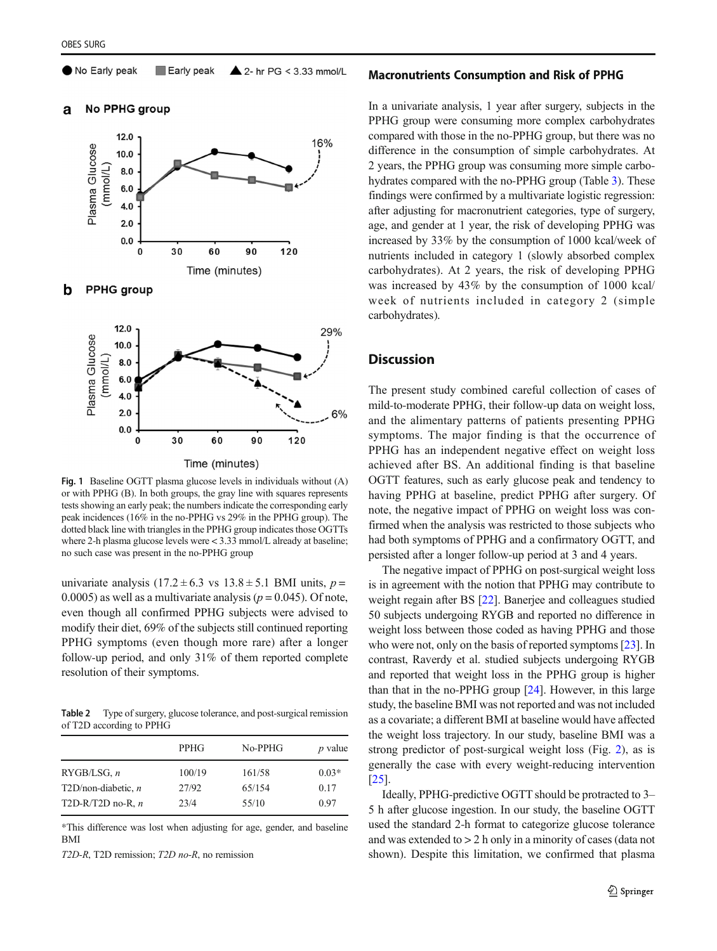<span id="page-4-0"></span>No Early peak Early peak  $\triangle$  2- hr PG < 3.33 mmol/L

No PPHG group a







Fig. 1 Baseline OGTT plasma glucose levels in individuals without (A) or with PPHG (B). In both groups, the gray line with squares represents tests showing an early peak; the numbers indicate the corresponding early peak incidences (16% in the no-PPHG vs 29% in the PPHG group). The dotted black line with triangles in the PPHG group indicates those OGTTs where 2-h plasma glucose levels were < 3.33 mmol/L already at baseline; no such case was present in the no-PPHG group

univariate analysis  $(17.2 \pm 6.3 \text{ vs } 13.8 \pm 5.1 \text{ BMI units}, p =$ 0.0005) as well as a multivariate analysis ( $p = 0.045$ ). Of note, even though all confirmed PPHG subjects were advised to modify their diet, 69% of the subjects still continued reporting PPHG symptoms (even though more rare) after a longer follow-up period, and only 31% of them reported complete resolution of their symptoms.

Table 2 Type of surgery, glucose tolerance, and post-surgical remission of T2D according to PPHG

|                       | PPHG   | No-PPHG | $p$ value |
|-----------------------|--------|---------|-----------|
| RYGB/LSG, n           | 100/19 | 161/58  | $0.03*$   |
| $T2D/non-diabetic, n$ | 27/92  | 65/154  | 0.17      |
| T2D-R/T2D no-R, $n$   | 23/4   | 55/10   | 0.97      |

\*This difference was lost when adjusting for age, gender, and baseline BMI

T2D-R, T2D remission; T2D no-R, no remission

#### Macronutrients Consumption and Risk of PPHG

In a univariate analysis, 1 year after surgery, subjects in the PPHG group were consuming more complex carbohydrates compared with those in the no-PPHG group, but there was no difference in the consumption of simple carbohydrates. At 2 years, the PPHG group was consuming more simple carbohydrates compared with the no-PPHG group (Table [3](#page-5-0)). These findings were confirmed by a multivariate logistic regression: after adjusting for macronutrient categories, type of surgery, age, and gender at 1 year, the risk of developing PPHG was increased by 33% by the consumption of 1000 kcal/week of nutrients included in category 1 (slowly absorbed complex carbohydrates). At 2 years, the risk of developing PPHG was increased by 43% by the consumption of 1000 kcal/ week of nutrients included in category 2 (simple carbohydrates).

# **Discussion**

The present study combined careful collection of cases of mild-to-moderate PPHG, their follow-up data on weight loss, and the alimentary patterns of patients presenting PPHG symptoms. The major finding is that the occurrence of PPHG has an independent negative effect on weight loss achieved after BS. An additional finding is that baseline OGTT features, such as early glucose peak and tendency to having PPHG at baseline, predict PPHG after surgery. Of note, the negative impact of PPHG on weight loss was confirmed when the analysis was restricted to those subjects who had both symptoms of PPHG and a confirmatory OGTT, and persisted after a longer follow-up period at 3 and 4 years.

The negative impact of PPHG on post-surgical weight loss is in agreement with the notion that PPHG may contribute to weight regain after BS [\[22](#page-6-0)]. Banerjee and colleagues studied 50 subjects undergoing RYGB and reported no difference in weight loss between those coded as having PPHG and those who were not, only on the basis of reported symptoms [[23\]](#page-6-0). In contrast, Raverdy et al. studied subjects undergoing RYGB and reported that weight loss in the PPHG group is higher than that in the no-PPHG group [[24](#page-6-0)]. However, in this large study, the baseline BMI was not reported and was not included as a covariate; a different BMI at baseline would have affected the weight loss trajectory. In our study, baseline BMI was a strong predictor of post-surgical weight loss (Fig. [2](#page-5-0)), as is generally the case with every weight-reducing intervention [\[25](#page-7-0)].

Ideally, PPHG-predictive OGTT should be protracted to 3– 5 h after glucose ingestion. In our study, the baseline OGTT used the standard 2-h format to categorize glucose tolerance and was extended to > 2 h only in a minority of cases (data not shown). Despite this limitation, we confirmed that plasma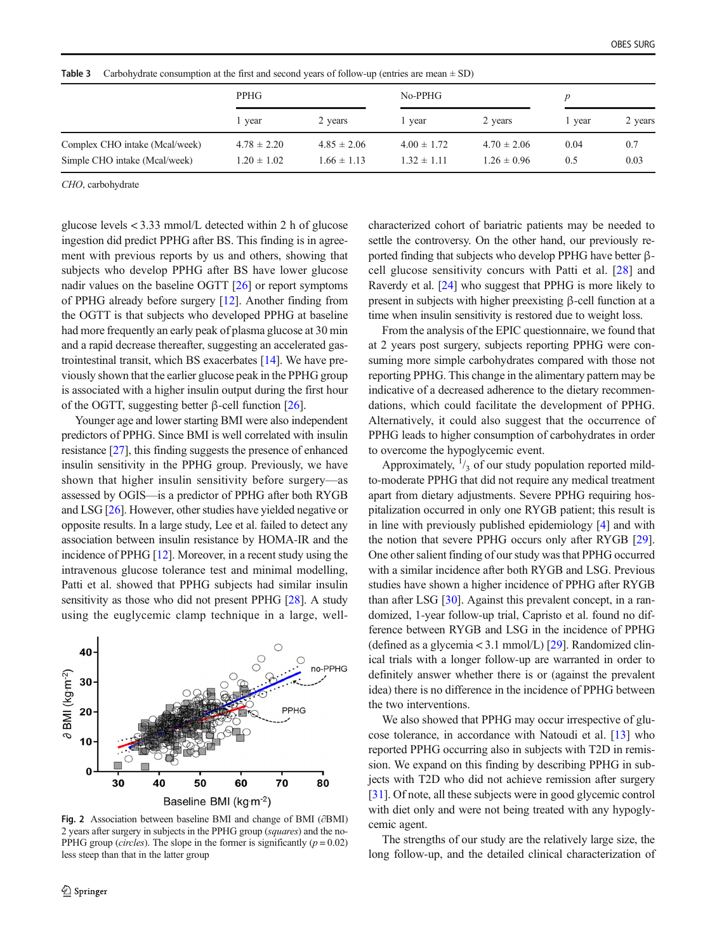| PPHG                               |                                    | $No-PPHG$                          |                                    | $\boldsymbol{p}$ |             |
|------------------------------------|------------------------------------|------------------------------------|------------------------------------|------------------|-------------|
| l year                             | 2 years                            | 1 year                             | 2 years                            | l vear           | 2 years     |
| $4.78 \pm 2.20$<br>$1.20 \pm 1.02$ | $4.85 \pm 2.06$<br>$1.66 \pm 1.13$ | $4.00 \pm 1.72$<br>$1.32 \pm 1.11$ | $4.70 \pm 2.06$<br>$1.26 \pm 0.96$ | 0.04<br>0.5      | 0.7<br>0.03 |
|                                    |                                    |                                    |                                    |                  |             |

<span id="page-5-0"></span>**Table 3** Carbohydrate consumption at the first and second years of follow-up (entries are mean  $\pm$  SD)

CHO, carbohydrate

glucose levels < 3.33 mmol/L detected within 2 h of glucose ingestion did predict PPHG after BS. This finding is in agreement with previous reports by us and others, showing that subjects who develop PPHG after BS have lower glucose nadir values on the baseline OGTT [\[26\]](#page-7-0) or report symptoms of PPHG already before surgery [\[12](#page-6-0)]. Another finding from the OGTT is that subjects who developed PPHG at baseline had more frequently an early peak of plasma glucose at 30 min and a rapid decrease thereafter, suggesting an accelerated gastrointestinal transit, which BS exacerbates [[14](#page-6-0)]. We have previously shown that the earlier glucose peak in the PPHG group is associated with a higher insulin output during the first hour of the OGTT, suggesting better β-cell function  $[26]$ .

Younger age and lower starting BMI were also independent predictors of PPHG. Since BMI is well correlated with insulin resistance [[27\]](#page-7-0), this finding suggests the presence of enhanced insulin sensitivity in the PPHG group. Previously, we have shown that higher insulin sensitivity before surgery—as assessed by OGIS—is a predictor of PPHG after both RYGB and LSG [\[26\]](#page-7-0). However, other studies have yielded negative or opposite results. In a large study, Lee et al. failed to detect any association between insulin resistance by HOMA-IR and the incidence of PPHG [\[12\]](#page-6-0). Moreover, in a recent study using the intravenous glucose tolerance test and minimal modelling, Patti et al. showed that PPHG subjects had similar insulin sensitivity as those who did not present PPHG [[28](#page-7-0)]. A study using the euglycemic clamp technique in a large, well-



Fig. 2 Association between baseline BMI and change of BMI (∂BMI) 2 years after surgery in subjects in the PPHG group (squares) and the no-PPHG group (*circles*). The slope in the former is significantly ( $p = 0.02$ ) less steep than that in the latter group

characterized cohort of bariatric patients may be needed to settle the controversy. On the other hand, our previously reported finding that subjects who develop PPHG have better βcell glucose sensitivity concurs with Patti et al. [\[28](#page-7-0)] and Raverdy et al. [\[24\]](#page-6-0) who suggest that PPHG is more likely to present in subjects with higher preexisting β-cell function at a time when insulin sensitivity is restored due to weight loss.

From the analysis of the EPIC questionnaire, we found that at 2 years post surgery, subjects reporting PPHG were consuming more simple carbohydrates compared with those not reporting PPHG. This change in the alimentary pattern may be indicative of a decreased adherence to the dietary recommendations, which could facilitate the development of PPHG. Alternatively, it could also suggest that the occurrence of PPHG leads to higher consumption of carbohydrates in order to overcome the hypoglycemic event.

Approximately,  $\frac{1}{3}$  of our study population reported mildto-moderate PPHG that did not require any medical treatment apart from dietary adjustments. Severe PPHG requiring hospitalization occurred in only one RYGB patient; this result is in line with previously published epidemiology [[4\]](#page-6-0) and with the notion that severe PPHG occurs only after RYGB [[29\]](#page-7-0). One other salient finding of our study was that PPHG occurred with a similar incidence after both RYGB and LSG. Previous studies have shown a higher incidence of PPHG after RYGB than after LSG [\[30\]](#page-7-0). Against this prevalent concept, in a randomized, 1-year follow-up trial, Capristo et al. found no difference between RYGB and LSG in the incidence of PPHG (defined as a glycemia < 3.1 mmol/L)  $[29]$  $[29]$ . Randomized clinical trials with a longer follow-up are warranted in order to definitely answer whether there is or (against the prevalent idea) there is no difference in the incidence of PPHG between the two interventions.

We also showed that PPHG may occur irrespective of glucose tolerance, in accordance with Natoudi et al. [[13](#page-6-0)] who reported PPHG occurring also in subjects with T2D in remission. We expand on this finding by describing PPHG in subjects with T2D who did not achieve remission after surgery [\[31](#page-7-0)]. Of note, all these subjects were in good glycemic control with diet only and were not being treated with any hypoglycemic agent.

The strengths of our study are the relatively large size, the long follow-up, and the detailed clinical characterization of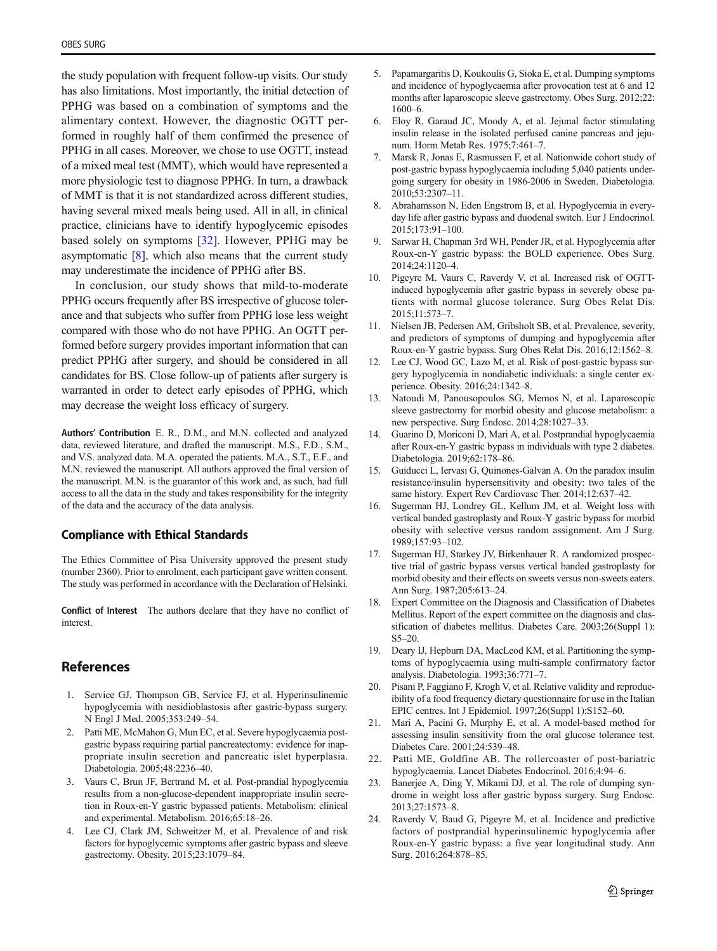<span id="page-6-0"></span>the study population with frequent follow-up visits. Our study has also limitations. Most importantly, the initial detection of PPHG was based on a combination of symptoms and the alimentary context. However, the diagnostic OGTT performed in roughly half of them confirmed the presence of PPHG in all cases. Moreover, we chose to use OGTT, instead of a mixed meal test (MMT), which would have represented a more physiologic test to diagnose PPHG. In turn, a drawback of MMT is that it is not standardized across different studies, having several mixed meals being used. All in all, in clinical practice, clinicians have to identify hypoglycemic episodes based solely on symptoms [\[32](#page-7-0)]. However, PPHG may be asymptomatic [8], which also means that the current study may underestimate the incidence of PPHG after BS.

In conclusion, our study shows that mild-to-moderate PPHG occurs frequently after BS irrespective of glucose tolerance and that subjects who suffer from PPHG lose less weight compared with those who do not have PPHG. An OGTT performed before surgery provides important information that can predict PPHG after surgery, and should be considered in all candidates for BS. Close follow-up of patients after surgery is warranted in order to detect early episodes of PPHG, which may decrease the weight loss efficacy of surgery.

Authors' Contribution E. R., D.M., and M.N. collected and analyzed data, reviewed literature, and drafted the manuscript. M.S., F.D., S.M., and V.S. analyzed data. M.A. operated the patients. M.A., S.T., E.F., and M.N. reviewed the manuscript. All authors approved the final version of the manuscript. M.N. is the guarantor of this work and, as such, had full access to all the data in the study and takes responsibility for the integrity of the data and the accuracy of the data analysis.

#### Compliance with Ethical Standards

The Ethics Committee of Pisa University approved the present study (number 2360). Prior to enrolment, each participant gave written consent. The study was performed in accordance with the Declaration of Helsinki.

Conflict of Interest The authors declare that they have no conflict of interest.

# References

- 1. Service GJ, Thompson GB, Service FJ, et al. Hyperinsulinemic hypoglycemia with nesidioblastosis after gastric-bypass surgery. N Engl J Med. 2005;353:249–54.
- 2. Patti ME, McMahon G, Mun EC, et al. Severe hypoglycaemia postgastric bypass requiring partial pancreatectomy: evidence for inappropriate insulin secretion and pancreatic islet hyperplasia. Diabetologia. 2005;48:2236–40.
- 3. Vaurs C, Brun JF, Bertrand M, et al. Post-prandial hypoglycemia results from a non-glucose-dependent inappropriate insulin secretion in Roux-en-Y gastric bypassed patients. Metabolism: clinical and experimental. Metabolism. 2016;65:18–26.
- 4. Lee CJ, Clark JM, Schweitzer M, et al. Prevalence of and risk factors for hypoglycemic symptoms after gastric bypass and sleeve gastrectomy. Obesity. 2015;23:1079–84.
- 5. Papamargaritis D, Koukoulis G, Sioka E, et al. Dumping symptoms and incidence of hypoglycaemia after provocation test at 6 and 12 months after laparoscopic sleeve gastrectomy. Obes Surg. 2012;22: 1600–6.
- 6. Eloy R, Garaud JC, Moody A, et al. Jejunal factor stimulating insulin release in the isolated perfused canine pancreas and jejunum. Horm Metab Res. 1975;7:461–7.
- 7. Marsk R, Jonas E, Rasmussen F, et al. Nationwide cohort study of post-gastric bypass hypoglycaemia including 5,040 patients undergoing surgery for obesity in 1986-2006 in Sweden. Diabetologia. 2010;53:2307–11.
- 8. Abrahamsson N, Eden Engstrom B, et al. Hypoglycemia in everyday life after gastric bypass and duodenal switch. Eur J Endocrinol. 2015;173:91–100.
- 9. Sarwar H, Chapman 3rd WH, Pender JR, et al. Hypoglycemia after Roux-en-Y gastric bypass: the BOLD experience. Obes Surg. 2014;24:1120–4.
- 10. Pigeyre M, Vaurs C, Raverdy V, et al. Increased risk of OGTTinduced hypoglycemia after gastric bypass in severely obese patients with normal glucose tolerance. Surg Obes Relat Dis. 2015;11:573–7.
- 11. Nielsen JB, Pedersen AM, Gribsholt SB, et al. Prevalence, severity, and predictors of symptoms of dumping and hypoglycemia after Roux-en-Y gastric bypass. Surg Obes Relat Dis. 2016;12:1562–8.
- 12. Lee CJ, Wood GC, Lazo M, et al. Risk of post-gastric bypass surgery hypoglycemia in nondiabetic individuals: a single center experience. Obesity. 2016;24:1342–8.
- 13. Natoudi M, Panousopoulos SG, Memos N, et al. Laparoscopic sleeve gastrectomy for morbid obesity and glucose metabolism: a new perspective. Surg Endosc. 2014;28:1027–33.
- 14. Guarino D, Moriconi D, Mari A, et al. Postprandial hypoglycaemia after Roux-en-Y gastric bypass in individuals with type 2 diabetes. Diabetologia. 2019;62:178–86.
- 15. Guiducci L, Iervasi G, Quinones-Galvan A. On the paradox insulin resistance/insulin hypersensitivity and obesity: two tales of the same history. Expert Rev Cardiovasc Ther. 2014;12:637–42.
- 16. Sugerman HJ, Londrey GL, Kellum JM, et al. Weight loss with vertical banded gastroplasty and Roux-Y gastric bypass for morbid obesity with selective versus random assignment. Am J Surg. 1989;157:93–102.
- 17. Sugerman HJ, Starkey JV, Birkenhauer R. A randomized prospective trial of gastric bypass versus vertical banded gastroplasty for morbid obesity and their effects on sweets versus non-sweets eaters. Ann Surg. 1987;205:613–24.
- 18. Expert Committee on the Diagnosis and Classification of Diabetes Mellitus. Report of the expert committee on the diagnosis and classification of diabetes mellitus. Diabetes Care. 2003;26(Suppl 1): S5–20.
- 19. Deary IJ, Hepburn DA, MacLeod KM, et al. Partitioning the symptoms of hypoglycaemia using multi-sample confirmatory factor analysis. Diabetologia. 1993;36:771–7.
- 20. Pisani P, Faggiano F, Krogh V, et al. Relative validity and reproducibility of a food frequency dietary questionnaire for use in the Italian EPIC centres. Int J Epidemiol. 1997;26(Suppl 1):S152–60.
- 21. Mari A, Pacini G, Murphy E, et al. A model-based method for assessing insulin sensitivity from the oral glucose tolerance test. Diabetes Care. 2001;24:539–48.
- 22. Patti ME, Goldfine AB. The rollercoaster of post-bariatric hypoglycaemia. Lancet Diabetes Endocrinol. 2016;4:94–6.
- 23. Banerjee A, Ding Y, Mikami DJ, et al. The role of dumping syndrome in weight loss after gastric bypass surgery. Surg Endosc. 2013;27:1573–8.
- 24. Raverdy V, Baud G, Pigeyre M, et al. Incidence and predictive factors of postprandial hyperinsulinemic hypoglycemia after Roux-en-Y gastric bypass: a five year longitudinal study. Ann Surg. 2016;264:878–85.